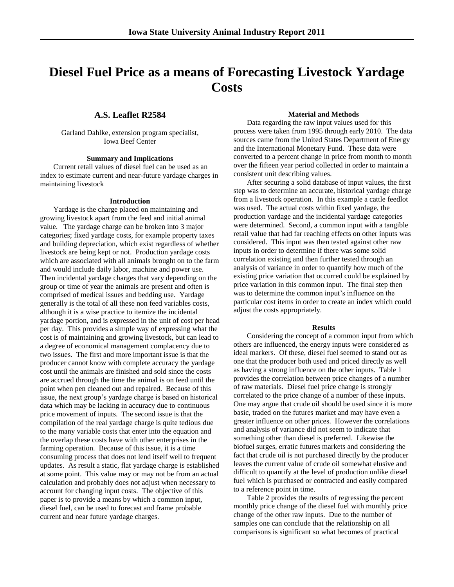# **Diesel Fuel Price as a means of Forecasting Livestock Yardage Costs**

## **A.S. Leaflet R2584**

Garland Dahlke, extension program specialist, Iowa Beef Center

## **Summary and Implications**

Current retail values of diesel fuel can be used as an index to estimate current and near-future yardage charges in maintaining livestock

#### **Introduction**

Yardage is the charge placed on maintaining and growing livestock apart from the feed and initial animal value. The yardage charge can be broken into 3 major categories; fixed yardage costs, for example property taxes and building depreciation, which exist regardless of whether livestock are being kept or not. Production yardage costs which are associated with all animals brought on to the farm and would include daily labor, machine and power use. Then incidental yardage charges that vary depending on the group or time of year the animals are present and often is comprised of medical issues and bedding use. Yardage generally is the total of all these non feed variables costs, although it is a wise practice to itemize the incidental yardage portion, and is expressed in the unit of cost per head per day. This provides a simple way of expressing what the cost is of maintaining and growing livestock, but can lead to a degree of economical management complacency due to two issues. The first and more important issue is that the producer cannot know with complete accuracy the yardage cost until the animals are finished and sold since the costs are accrued through the time the animal is on feed until the point when pen cleaned out and repaired. Because of this issue, the next group's yardage charge is based on historical data which may be lacking in accuracy due to continuous price movement of inputs. The second issue is that the compilation of the real yardage charge is quite tedious due to the many variable costs that enter into the equation and the overlap these costs have with other enterprises in the farming operation. Because of this issue, it is a time consuming process that does not lend itself well to frequent updates. As result a static, flat yardage charge is established at some point. This value may or may not be from an actual calculation and probably does not adjust when necessary to account for changing input costs. The objective of this paper is to provide a means by which a common input, diesel fuel, can be used to forecast and frame probable current and near future yardage charges.

### **Material and Methods**

Data regarding the raw input values used for this process were taken from 1995 through early 2010. The data sources came from the United States Department of Energy and the International Monetary Fund. These data were converted to a percent change in price from month to month over the fifteen year period collected in order to maintain a consistent unit describing values.

After securing a solid database of input values, the first step was to determine an accurate, historical yardage charge from a livestock operation. In this example a cattle feedlot was used. The actual costs within fixed yardage, the production yardage and the incidental yardage categories were determined. Second, a common input with a tangible retail value that had far reaching effects on other inputs was considered. This input was then tested against other raw inputs in order to determine if there was some solid correlation existing and then further tested through an analysis of variance in order to quantify how much of the existing price variation that occurred could be explained by price variation in this common input. The final step then was to determine the common input's influence on the particular cost items in order to create an index which could adjust the costs appropriately.

#### **Results**

Considering the concept of a common input from which others are influenced, the energy inputs were considered as ideal markers. Of these, diesel fuel seemed to stand out as one that the producer both used and priced directly as well as having a strong influence on the other inputs. Table 1 provides the correlation between price changes of a number of raw materials. Diesel fuel price change is strongly correlated to the price change of a number of these inputs. One may argue that crude oil should be used since it is more basic, traded on the futures market and may have even a greater influence on other prices. However the correlations and analysis of variance did not seem to indicate that something other than diesel is preferred. Likewise the biofuel surges, erratic futures markets and considering the fact that crude oil is not purchased directly by the producer leaves the current value of crude oil somewhat elusive and difficult to quantify at the level of production unlike diesel fuel which is purchased or contracted and easily compared to a reference point in time.

Table 2 provides the results of regressing the percent monthly price change of the diesel fuel with monthly price change of the other raw inputs. Due to the number of samples one can conclude that the relationship on all comparisons is significant so what becomes of practical